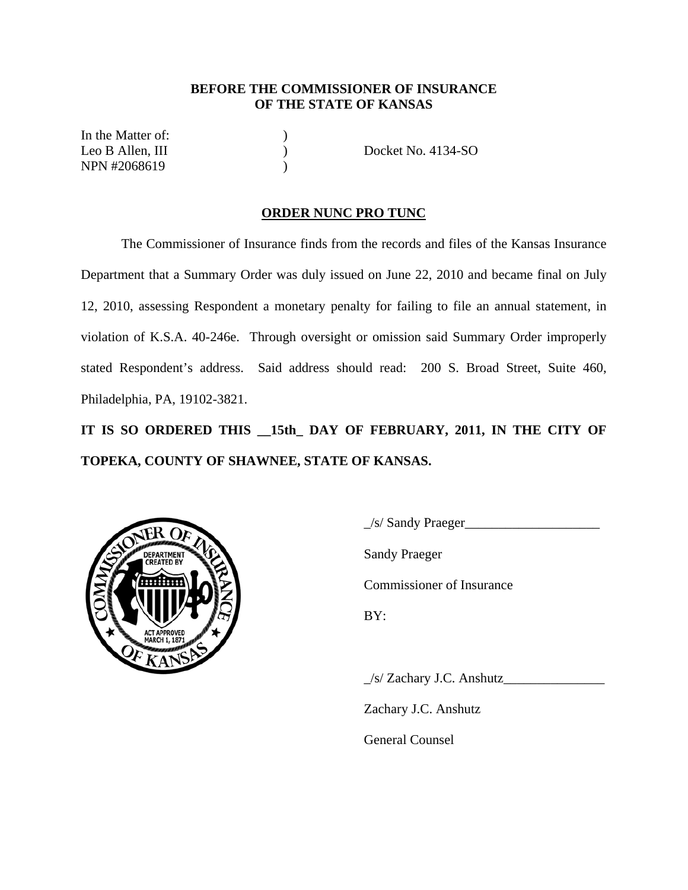## **BEFORE THE COMMISSIONER OF INSURANCE OF THE STATE OF KANSAS**

In the Matter of: NPN #2068619 (1)

Leo B Allen, III (a) (b) Docket No. 4134-SO

## **ORDER NUNC PRO TUNC**

 The Commissioner of Insurance finds from the records and files of the Kansas Insurance Department that a Summary Order was duly issued on June 22, 2010 and became final on July 12, 2010, assessing Respondent a monetary penalty for failing to file an annual statement, in violation of K.S.A. 40-246e. Through oversight or omission said Summary Order improperly stated Respondent's address. Said address should read: 200 S. Broad Street, Suite 460, Philadelphia, PA, 19102-3821.

**IT IS SO ORDERED THIS \_\_15th\_ DAY OF FEBRUARY, 2011, IN THE CITY OF TOPEKA, COUNTY OF SHAWNEE, STATE OF KANSAS.** 



\_/s/ Sandy Praeger\_\_\_\_\_\_\_\_\_\_\_\_\_\_\_\_\_\_\_\_ Commissioner of Insurance

 $\angle$ s/ Zachary J.C. Anshutz

Zachary J.C. Anshutz

General Counsel